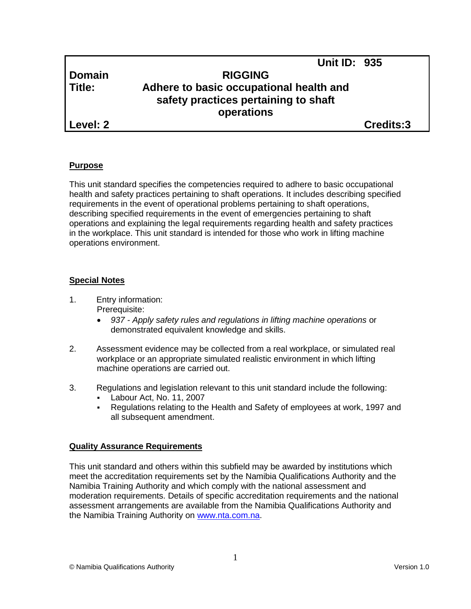# **Domain RIGGING Title: Adhere to basic occupational health and safety practices pertaining to shaft operations**

**Level: 2 Credits:3**

## **Purpose**

This unit standard specifies the competencies required to adhere to basic occupational health and safety practices pertaining to shaft operations. It includes describing specified requirements in the event of operational problems pertaining to shaft operations, describing specified requirements in the event of emergencies pertaining to shaft operations and explaining the legal requirements regarding health and safety practices in the workplace. This unit standard is intended for those who work in lifting machine operations environment.

## **Special Notes**

1. Entry information:

Prerequisite:

- *937 - Apply safety rules and regulations in lifting machine operations* or demonstrated equivalent knowledge and skills.
- 2. Assessment evidence may be collected from a real workplace, or simulated real workplace or an appropriate simulated realistic environment in which lifting machine operations are carried out.
- 3. Regulations and legislation relevant to this unit standard include the following:
	- Labour Act, No. 11, 2007
	- Regulations relating to the Health and Safety of employees at work, 1997 and all subsequent amendment.

## **Quality Assurance Requirements**

This unit standard and others within this subfield may be awarded by institutions which meet the accreditation requirements set by the Namibia Qualifications Authority and the Namibia Training Authority and which comply with the national assessment and moderation requirements. Details of specific accreditation requirements and the national assessment arrangements are available from the Namibia Qualifications Authority and the Namibia Training Authority on [www.nta.com.na.](http://www.nta.com.na/)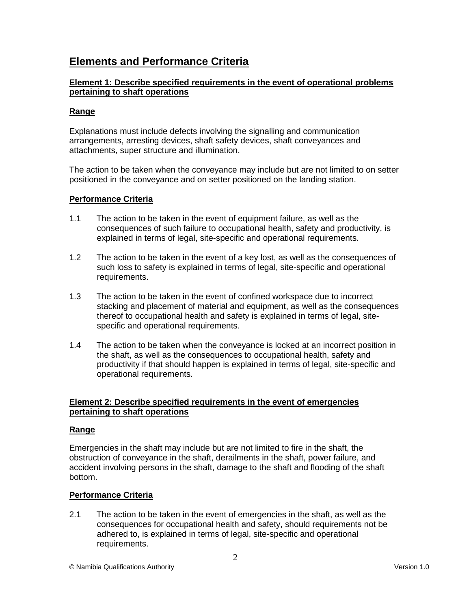# **Elements and Performance Criteria**

### **Element 1: Describe specified requirements in the event of operational problems pertaining to shaft operations**

### **Range**

Explanations must include defects involving the signalling and communication arrangements, arresting devices, shaft safety devices, shaft conveyances and attachments, super structure and illumination.

The action to be taken when the conveyance may include but are not limited to on setter positioned in the conveyance and on setter positioned on the landing station.

### **Performance Criteria**

- 1.1 The action to be taken in the event of equipment failure, as well as the consequences of such failure to occupational health, safety and productivity, is explained in terms of legal, site-specific and operational requirements.
- 1.2 The action to be taken in the event of a key lost, as well as the consequences of such loss to safety is explained in terms of legal, site-specific and operational requirements.
- 1.3 The action to be taken in the event of confined workspace due to incorrect stacking and placement of material and equipment, as well as the consequences thereof to occupational health and safety is explained in terms of legal, sitespecific and operational requirements.
- 1.4 The action to be taken when the conveyance is locked at an incorrect position in the shaft, as well as the consequences to occupational health, safety and productivity if that should happen is explained in terms of legal, site-specific and operational requirements.

#### **Element 2: Describe specified requirements in the event of emergencies pertaining to shaft operations**

#### **Range**

Emergencies in the shaft may include but are not limited to fire in the shaft, the obstruction of conveyance in the shaft, derailments in the shaft, power failure, and accident involving persons in the shaft, damage to the shaft and flooding of the shaft bottom.

#### **Performance Criteria**

2.1 The action to be taken in the event of emergencies in the shaft, as well as the consequences for occupational health and safety, should requirements not be adhered to, is explained in terms of legal, site-specific and operational requirements.